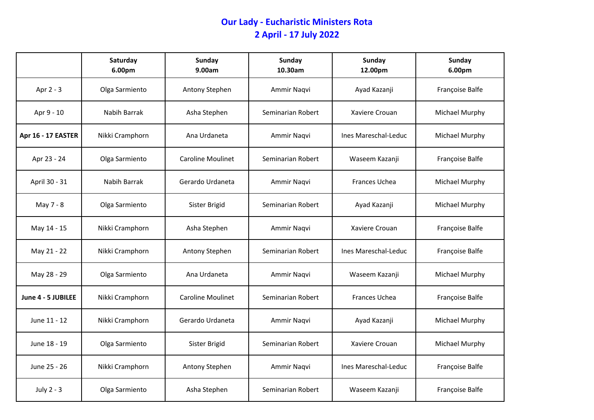## **Our Lady - Eucharistic Ministers Rota 2 April - 17 July 2022**

|                    | Saturday<br>6.00pm | <b>Sunday</b><br>9.00am  | Sunday<br>10.30am | Sunday<br>12.00pm    | <b>Sunday</b><br>6.00pm |
|--------------------|--------------------|--------------------------|-------------------|----------------------|-------------------------|
| Apr 2 - 3          | Olga Sarmiento     | Antony Stephen           | Ammir Naqvi       | Ayad Kazanji         | Françoise Balfe         |
| Apr 9 - 10         | Nabih Barrak       | Asha Stephen             | Seminarian Robert | Xaviere Crouan       | Michael Murphy          |
| Apr 16 - 17 EASTER | Nikki Cramphorn    | Ana Urdaneta             | Ammir Naqvi       | Ines Mareschal-Leduc | Michael Murphy          |
| Apr 23 - 24        | Olga Sarmiento     | <b>Caroline Moulinet</b> | Seminarian Robert | Waseem Kazanji       | Françoise Balfe         |
| April 30 - 31      | Nabih Barrak       | Gerardo Urdaneta         | Ammir Naqvi       | Frances Uchea        | Michael Murphy          |
| May 7 - 8          | Olga Sarmiento     | Sister Brigid            | Seminarian Robert | Ayad Kazanji         | Michael Murphy          |
| May 14 - 15        | Nikki Cramphorn    | Asha Stephen             | Ammir Naqvi       | Xaviere Crouan       | Françoise Balfe         |
| May 21 - 22        | Nikki Cramphorn    | Antony Stephen           | Seminarian Robert | Ines Mareschal-Leduc | Françoise Balfe         |
| May 28 - 29        | Olga Sarmiento     | Ana Urdaneta             | Ammir Naqvi       | Waseem Kazanji       | Michael Murphy          |
| June 4 - 5 JUBILEE | Nikki Cramphorn    | Caroline Moulinet        | Seminarian Robert | Frances Uchea        | Françoise Balfe         |
| June 11 - 12       | Nikki Cramphorn    | Gerardo Urdaneta         | Ammir Naqvi       | Ayad Kazanji         | Michael Murphy          |
| June 18 - 19       | Olga Sarmiento     | Sister Brigid            | Seminarian Robert | Xaviere Crouan       | Michael Murphy          |
| June 25 - 26       | Nikki Cramphorn    | Antony Stephen           | Ammir Naqvi       | Ines Mareschal-Leduc | Françoise Balfe         |
| July 2 - 3         | Olga Sarmiento     | Asha Stephen             | Seminarian Robert | Waseem Kazanji       | Françoise Balfe         |